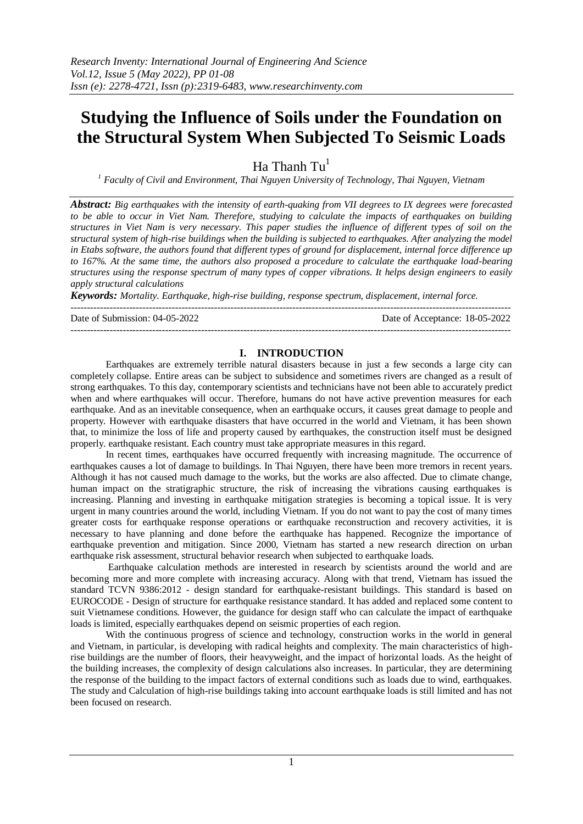# **Studying the Influence of Soils under the Foundation on the Structural System When Subjected To Seismic Loads**

Ha Thanh  $Tu<sup>1</sup>$ 

*<sup>1</sup> Faculty of Civil and Environment, Thai Nguyen University of Technology, Thai Nguyen, Vietnam*

*Abstract: Big earthquakes with the intensity of earth-quaking from VII degrees to IX degrees were forecasted to be able to occur in Viet Nam. Therefore, studying to calculate the impacts of earthquakes on building structures in Viet Nam is very necessary. This paper studies the influence of different types of soil on the structural system of high-rise buildings when the building is subjected to earthquakes. After analyzing the model in Etabs software, the authors found that different types of ground for displacement, internal force difference up to 167%. At the same time, the authors also proposed a procedure to calculate the earthquake load-bearing structures using the response spectrum of many types of copper vibrations. It helps design engineers to easily apply structural calculations*

*Keywords: Mortality. Earthquake, high-rise building, response spectrum, displacement, internal force.* ---------------------------------------------------------------------------------------------------------------------------------------

Date of Submission: 04-05-2022 Date of Acceptance: 18-05-2022

# **I. INTRODUCTION**

---------------------------------------------------------------------------------------------------------------------------------------

Earthquakes are extremely terrible natural disasters because in just a few seconds a large city can completely collapse. Entire areas can be subject to subsidence and sometimes rivers are changed as a result of strong earthquakes. To this day, contemporary scientists and technicians have not been able to accurately predict when and where earthquakes will occur. Therefore, humans do not have active prevention measures for each earthquake. And as an inevitable consequence, when an earthquake occurs, it causes great damage to people and property. However with earthquake disasters that have occurred in the world and Vietnam, it has been shown that, to minimize the loss of life and property caused by earthquakes, the construction itself must be designed properly. earthquake resistant. Each country must take appropriate measures in this regard.

In recent times, earthquakes have occurred frequently with increasing magnitude. The occurrence of earthquakes causes a lot of damage to buildings. In Thai Nguyen, there have been more tremors in recent years. Although it has not caused much damage to the works, but the works are also affected. Due to climate change, human impact on the stratigraphic structure, the risk of increasing the vibrations causing earthquakes is increasing. Planning and investing in earthquake mitigation strategies is becoming a topical issue. It is very urgent in many countries around the world, including Vietnam. If you do not want to pay the cost of many times greater costs for earthquake response operations or earthquake reconstruction and recovery activities, it is necessary to have planning and done before the earthquake has happened. Recognize the importance of earthquake prevention and mitigation. Since 2000, Vietnam has started a new research direction on urban earthquake risk assessment, structural behavior research when subjected to earthquake loads.

Earthquake calculation methods are interested in research by scientists around the world and are becoming more and more complete with increasing accuracy. Along with that trend, Vietnam has issued the standard TCVN 9386:2012 - design standard for earthquake-resistant buildings. This standard is based on EUROCODE - Design of structure for earthquake resistance standard. It has added and replaced some content to suit Vietnamese conditions. However, the guidance for design staff who can calculate the impact of earthquake loads is limited, especially earthquakes depend on seismic properties of each region.

With the continuous progress of science and technology, construction works in the world in general and Vietnam, in particular, is developing with radical heights and complexity. The main characteristics of highrise buildings are the number of floors, their heavyweight, and the impact of horizontal loads. As the height of the building increases, the complexity of design calculations also increases. In particular, they are determining the response of the building to the impact factors of external conditions such as loads due to wind, earthquakes. The study and Calculation of high-rise buildings taking into account earthquake loads is still limited and has not been focused on research.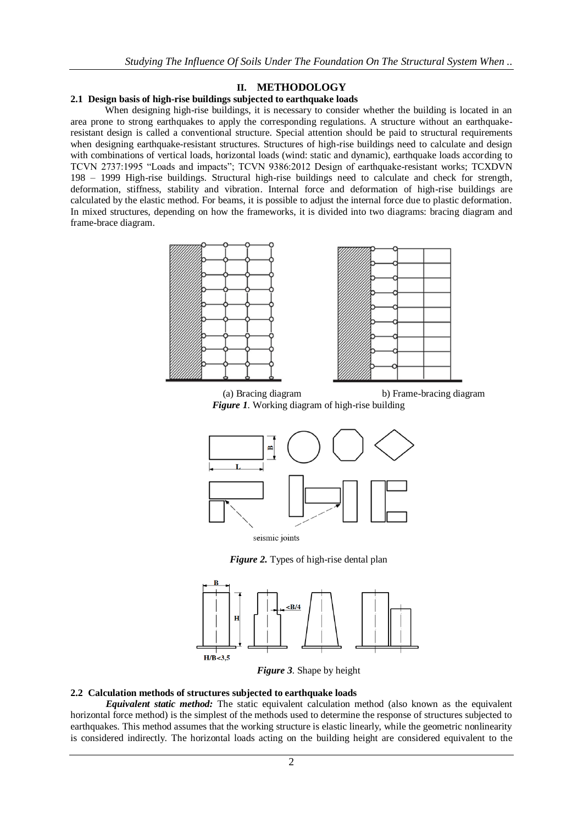## **II. METHODOLOGY**

### **2.1 Design basis of high-rise buildings subjected to earthquake loads**

When designing high-rise buildings, it is necessary to consider whether the building is located in an area prone to strong earthquakes to apply the corresponding regulations. A structure without an earthquakeresistant design is called a conventional structure. Special attention should be paid to structural requirements when designing earthquake-resistant structures. Structures of high-rise buildings need to calculate and design with combinations of vertical loads, horizontal loads (wind: static and dynamic), earthquake loads according to TCVN 2737:1995 "Loads and impacts"; TCVN 9386:2012 Design of earthquake-resistant works; TCXDVN 198 – 1999 High-rise buildings. Structural high-rise buildings need to calculate and check for strength, deformation, stiffness, stability and vibration. Internal force and deformation of high-rise buildings are calculated by the elastic method. For beams, it is possible to adjust the internal force due to plastic deformation. In mixed structures, depending on how the frameworks, it is divided into two diagrams: bracing diagram and frame-brace diagram.





 (a) Bracing diagram b) Frame-bracing diagram *Figure 1.* Working diagram of high-rise building



seismic joints

*Figure 2.* Types of high-rise dental plan



*Figure 3.* Shape by height

## **2.2 Calculation methods of structures subjected to earthquake loads**

*Equivalent static method:* The static equivalent calculation method (also known as the equivalent horizontal force method) is the simplest of the methods used to determine the response of structures subjected to earthquakes. This method assumes that the working structure is elastic linearly, while the geometric nonlinearity is considered indirectly. The horizontal loads acting on the building height are considered equivalent to the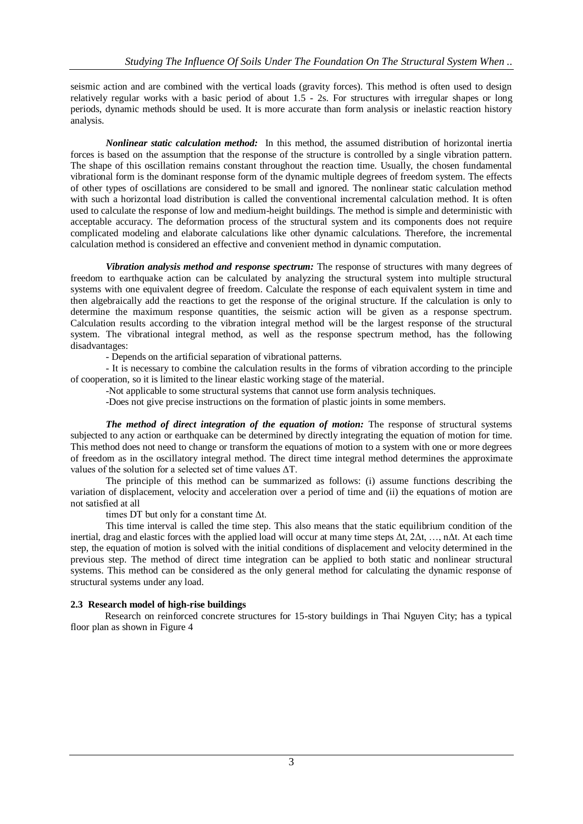seismic action and are combined with the vertical loads (gravity forces). This method is often used to design relatively regular works with a basic period of about 1.5 - 2s. For structures with irregular shapes or long periods, dynamic methods should be used. It is more accurate than form analysis or inelastic reaction history analysis.

*Nonlinear static calculation method:* In this method, the assumed distribution of horizontal inertia forces is based on the assumption that the response of the structure is controlled by a single vibration pattern. The shape of this oscillation remains constant throughout the reaction time. Usually, the chosen fundamental vibrational form is the dominant response form of the dynamic multiple degrees of freedom system. The effects of other types of oscillations are considered to be small and ignored. The nonlinear static calculation method with such a horizontal load distribution is called the conventional incremental calculation method. It is often used to calculate the response of low and medium-height buildings. The method is simple and deterministic with acceptable accuracy. The deformation process of the structural system and its components does not require complicated modeling and elaborate calculations like other dynamic calculations. Therefore, the incremental calculation method is considered an effective and convenient method in dynamic computation.

*Vibration analysis method and response spectrum:* The response of structures with many degrees of freedom to earthquake action can be calculated by analyzing the structural system into multiple structural systems with one equivalent degree of freedom. Calculate the response of each equivalent system in time and then algebraically add the reactions to get the response of the original structure. If the calculation is only to determine the maximum response quantities, the seismic action will be given as a response spectrum. Calculation results according to the vibration integral method will be the largest response of the structural system. The vibrational integral method, as well as the response spectrum method, has the following disadvantages:

- Depends on the artificial separation of vibrational patterns.

- It is necessary to combine the calculation results in the forms of vibration according to the principle of cooperation, so it is limited to the linear elastic working stage of the material.

-Not applicable to some structural systems that cannot use form analysis techniques.

-Does not give precise instructions on the formation of plastic joints in some members.

*The method of direct integration of the equation of motion:* The response of structural systems subjected to any action or earthquake can be determined by directly integrating the equation of motion for time. This method does not need to change or transform the equations of motion to a system with one or more degrees of freedom as in the oscillatory integral method. The direct time integral method determines the approximate values of the solution for a selected set of time values ΔT.

The principle of this method can be summarized as follows: (i) assume functions describing the variation of displacement, velocity and acceleration over a period of time and (ii) the equations of motion are not satisfied at all

times DT but only for a constant time Δt.

This time interval is called the time step. This also means that the static equilibrium condition of the inertial, drag and elastic forces with the applied load will occur at many time steps  $\Delta t$ ,  $2\Delta t$ , ..., n $\Delta t$ . At each time step, the equation of motion is solved with the initial conditions of displacement and velocity determined in the previous step. The method of direct time integration can be applied to both static and nonlinear structural systems. This method can be considered as the only general method for calculating the dynamic response of structural systems under any load.

## **2.3 Research model of high-rise buildings**

Research on reinforced concrete structures for 15-story buildings in Thai Nguyen City; has a typical floor plan as shown in Figure 4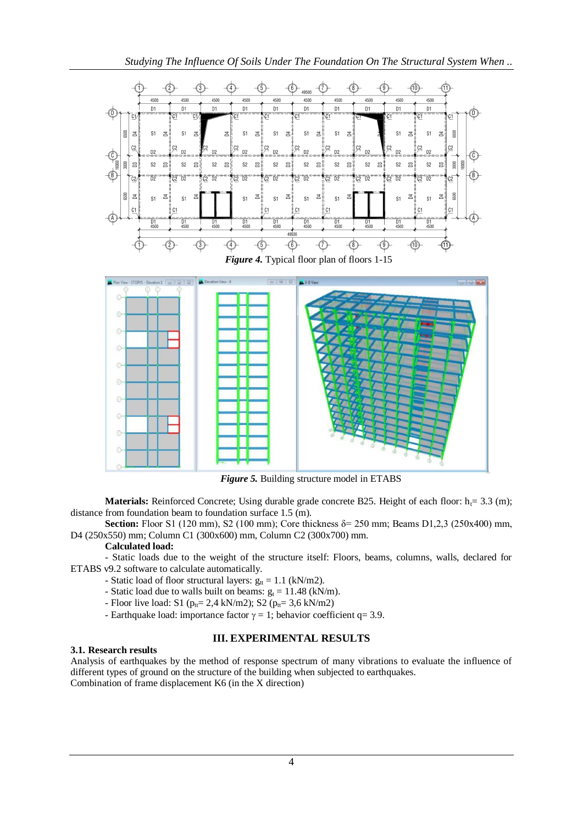*Studying The Influence Of Soils Under The Foundation On The Structural System When ..*



*Figure 5.* Building structure model in ETABS

**Materials:** Reinforced Concrete; Using durable grade concrete B25. Height of each floor:  $h_f = 3.3$  (m); distance from foundation beam to foundation surface 1.5 (m).

**Section:** Floor S1 (120 mm), S2 (100 mm); Core thickness δ= 250 mm; Beams D1,2,3 (250x400) mm, D4 (250x550) mm; Column C1 (300x600) mm, Column C2 (300x700) mm.

## **Calculated load:**

- Static loads due to the weight of the structure itself: Floors, beams, columns, walls, declared for ETABS v9.2 software to calculate automatically.

- Static load of floor structural layers:  $g_{tt} = 1.1$  (kN/m2).
- Static load due to walls built on beams:  $g_t = 11.48$  (kN/m).
- Floor live load: S1 ( $p_{tt} = 2.4$  kN/m2); S2 ( $p_{tt} = 3.6$  kN/m2)
- Earthquake load: importance factor  $\gamma = 1$ ; behavior coefficient q= 3.9.

## **III. EXPERIMENTAL RESULTS**

## **3.1. Research results**

Analysis of earthquakes by the method of response spectrum of many vibrations to evaluate the influence of different types of ground on the structure of the building when subjected to earthquakes. Combination of frame displacement K6 (in the X direction)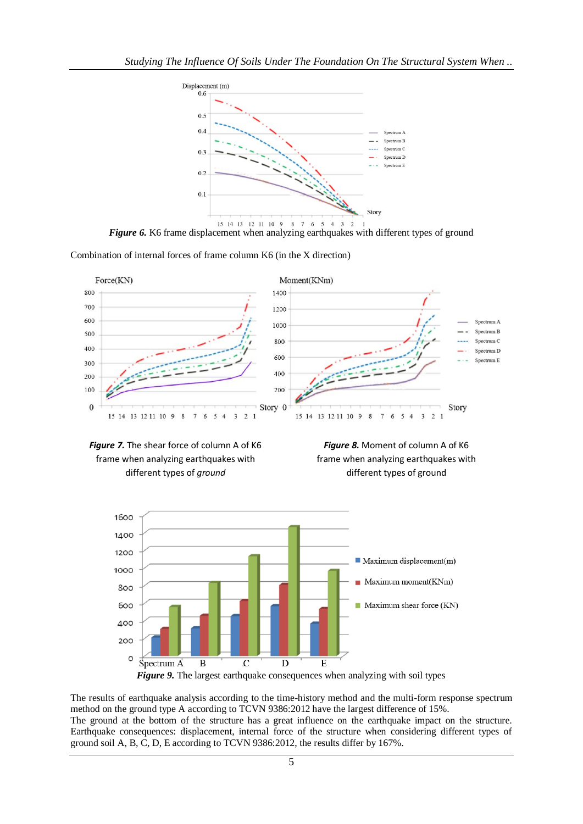

*Figure 6.* K6 frame displacement when analyzing earthquakes with different types of ground

Combination of internal forces of frame column K6 (in the X direction)



*Figure 7.* The shear force of column A of K6 frame when analyzing earthquakes with different types of *ground*





The results of earthquake analysis according to the time-history method and the multi-form response spectrum

method on the ground type A according to TCVN 9386:2012 have the largest difference of 15%. The ground at the bottom of the structure has a great influence on the earthquake impact on the structure. Earthquake consequences: displacement, internal force of the structure when considering different types of ground soil A, B, C, D, E according to TCVN 9386:2012, the results differ by 167%.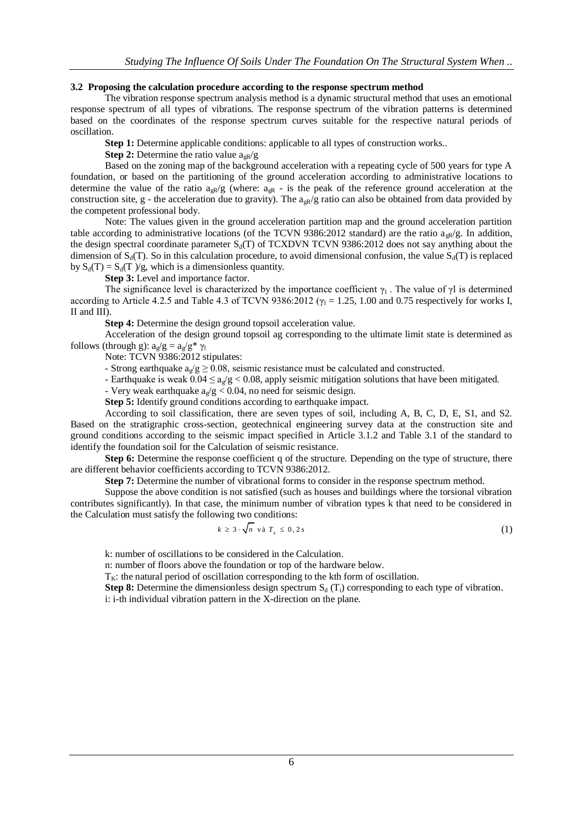## **3.2 Proposing the calculation procedure according to the response spectrum method**

The vibration response spectrum analysis method is a dynamic structural method that uses an emotional response spectrum of all types of vibrations. The response spectrum of the vibration patterns is determined based on the coordinates of the response spectrum curves suitable for the respective natural periods of oscillation.

**Step 1:** Determine applicable conditions: applicable to all types of construction works..

**Step 2:** Determine the ratio value  $a_{\text{R}}/g$ 

Based on the zoning map of the background acceleration with a repeating cycle of 500 years for type A foundation, or based on the partitioning of the ground acceleration according to administrative locations to determine the value of the ratio  $a_{gR}/g$  (where:  $a_{gR}$  - is the peak of the reference ground acceleration at the construction site, g - the acceleration due to gravity). The  $a_{gR}/g$  ratio can also be obtained from data provided by the competent professional body.

Note: The values given in the ground acceleration partition map and the ground acceleration partition table according to administrative locations (of the TCVN 9386:2012 standard) are the ratio  $a_{\alpha R}/g$ . In addition, the design spectral coordinate parameter  $S_d(T)$  of TCXDVN TCVN 9386:2012 does not say anything about the dimension of  $S_d(T)$ . So in this calculation procedure, to avoid dimensional confusion, the value  $S_d(T)$  is replaced by  $S_d(T) = S_d(T)/g$ , which is a dimensionless quantity.

**Step 3:** Level and importance factor.

The significance level is characterized by the importance coefficient  $\gamma_1$ . The value of  $\gamma$ l is determined according to Article 4.2.5 and Table 4.3 of TCVN 9386:2012 ( $\gamma_1 = 1.25$ , 1.00 and 0.75 respectively for works I, II and III).

**Step 4:** Determine the design ground topsoil acceleration value.

Acceleration of the design ground topsoil ag corresponding to the ultimate limit state is determined as follows (through g):  $a_g/g = a_g/g^* \gamma_1$ 

Note: TCVN 9386:2012 stipulates:

- Strong earthquake  $a_0/g \ge 0.08$ , seismic resistance must be calculated and constructed.

- Earthquake is weak  $0.04 \le a_g/g < 0.08$ , apply seismic mitigation solutions that have been mitigated.

- Very weak earthquake  $a_e/g < 0.04$ , no need for seismic design.

**Step 5:** Identify ground conditions according to earthquake impact.

According to soil classification, there are seven types of soil, including A, B, C, D, E, S1, and S2. Based on the stratigraphic cross-section, geotechnical engineering survey data at the construction site and ground conditions according to the seismic impact specified in Article 3.1.2 and Table 3.1 of the standard to identify the foundation soil for the Calculation of seismic resistance.

**Step 6:** Determine the response coefficient q of the structure. Depending on the type of structure, there are different behavior coefficients according to TCVN 9386:2012.

**Step 7:** Determine the number of vibrational forms to consider in the response spectrum method.

Suppose the above condition is not satisfied (such as houses and buildings where the torsional vibration contributes significantly). In that case, the minimum number of vibration types k that need to be considered in the Calculation must satisfy the following two conditions:

$$
k \ge 3 \cdot \sqrt{n} \text{ va } T_k \le 0, 2s \tag{1}
$$

k: number of oscillations to be considered in the Calculation.

n: number of floors above the foundation or top of the hardware below.

 $T_K$ : the natural period of oscillation corresponding to the kth form of oscillation.

**Step 8:** Determine the dimensionless design spectrum  $S_d(T_i)$  corresponding to each type of vibration. i: i-th individual vibration pattern in the X-direction on the plane.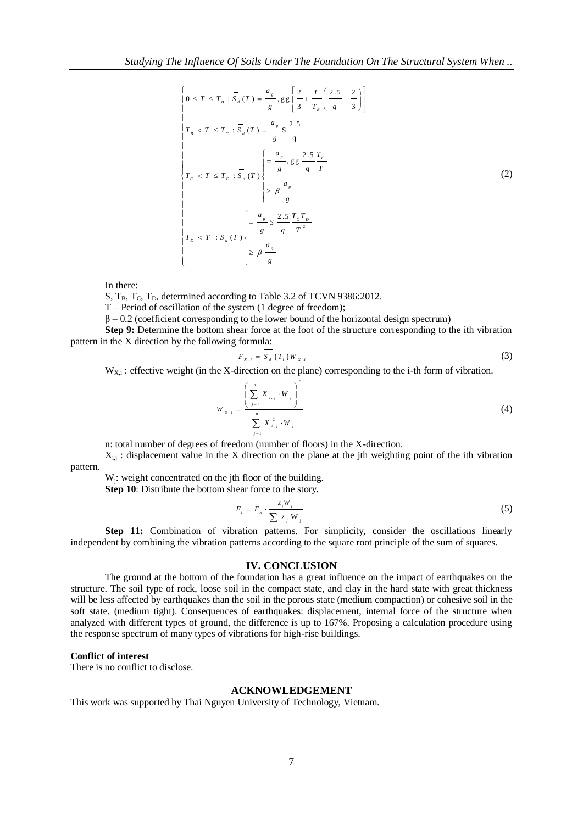$$
\begin{cases}\n0 \le T \le T_B : \overline{S}_d(T) = \frac{a_s}{g}, g g \left[ \frac{2}{3} + \frac{T}{T_B} \left( \frac{2.5}{q} - \frac{2}{3} \right) \right] \\
T_B < T \le T_C : \overline{S}_d(T) = \frac{a_s}{g} S \frac{2.5}{q} \\
\downarrow < T \le T_D : \overline{S}_d(T) \n\end{cases}\n\begin{cases}\n\frac{a_s}{g} & \frac{2.5}{q} \frac{T_C}{T} \\
\frac{2.5}{g} & \frac{2.5}{q} \frac{T_C}{T} \\
\downarrow < T \le T_D : \overline{S}_d(T)\n\end{cases}\n\begin{cases}\n\frac{a_s}{g} & \frac{2.5}{q} \frac{T_C T_D}{T} \\
\downarrow & \frac{2.5}{g} \frac{T_C T_D}{T^2} \\
\downarrow & \frac{2.5}{g} \frac{T_C T_D}{T} \\
\downarrow & \frac{2.5}{g} \frac{T_C T_D}{T} \\
\downarrow & \frac{2.5}{g} \frac{a_s}{T} \\
\end{cases}\n\tag{2}
$$

In there:

S,  $T_{\text{B}}$ ,  $T_{\text{C}}$ ,  $T_{\text{D}}$ , determined according to Table 3.2 of TCVN 9386:2012.

T – Period of oscillation of the system (1 degree of freedom);

 $\beta$  – 0.2 (coefficient corresponding to the lower bound of the horizontal design spectrum)

**Step 9:** Determine the bottom shear force at the foot of the structure corresponding to the ith vibration pattern in the X direction by the following formula:

$$
F_{X,i} = \overline{S_d} \left( T_i \right) W_{X,i} \tag{3}
$$

 $W_{X,i}$ : effective weight (in the X-direction on the plane) corresponding to the i-th form of vibration.

$$
W_{X,i} = \frac{\left(\sum_{j=1}^{n} X_{i,j} \cdot W_j\right)^2}{\sum_{j=1}^{n} X_{i,j}^2 \cdot W_j}
$$
 (4)

n: total number of degrees of freedom (number of floors) in the X-direction.

 $X_{i,j}$ : displacement value in the X direction on the plane at the jth weighting point of the ith vibration

pattern.

W<sub>j</sub>: weight concentrated on the jth floor of the building.

**Step 10**: Distribute the bottom shear force to the story*.*

$$
F_i = F_b \cdot \frac{z_i W_i}{\sum z_j W_j} \tag{5}
$$

**Step 11:** Combination of vibration patterns. For simplicity, consider the oscillations linearly independent by combining the vibration patterns according to the square root principle of the sum of squares.

#### **IV. CONCLUSION**

The ground at the bottom of the foundation has a great influence on the impact of earthquakes on the structure. The soil type of rock, loose soil in the compact state, and clay in the hard state with great thickness will be less affected by earthquakes than the soil in the porous state (medium compaction) or cohesive soil in the soft state. (medium tight). Consequences of earthquakes: displacement, internal force of the structure when analyzed with different types of ground, the difference is up to 167%. Proposing a calculation procedure using the response spectrum of many types of vibrations for high-rise buildings.

#### **Conflict of interest**

There is no conflict to disclose.

## **ACKNOWLEDGEMENT**

This work was supported by Thai Nguyen University of Technology, Vietnam.